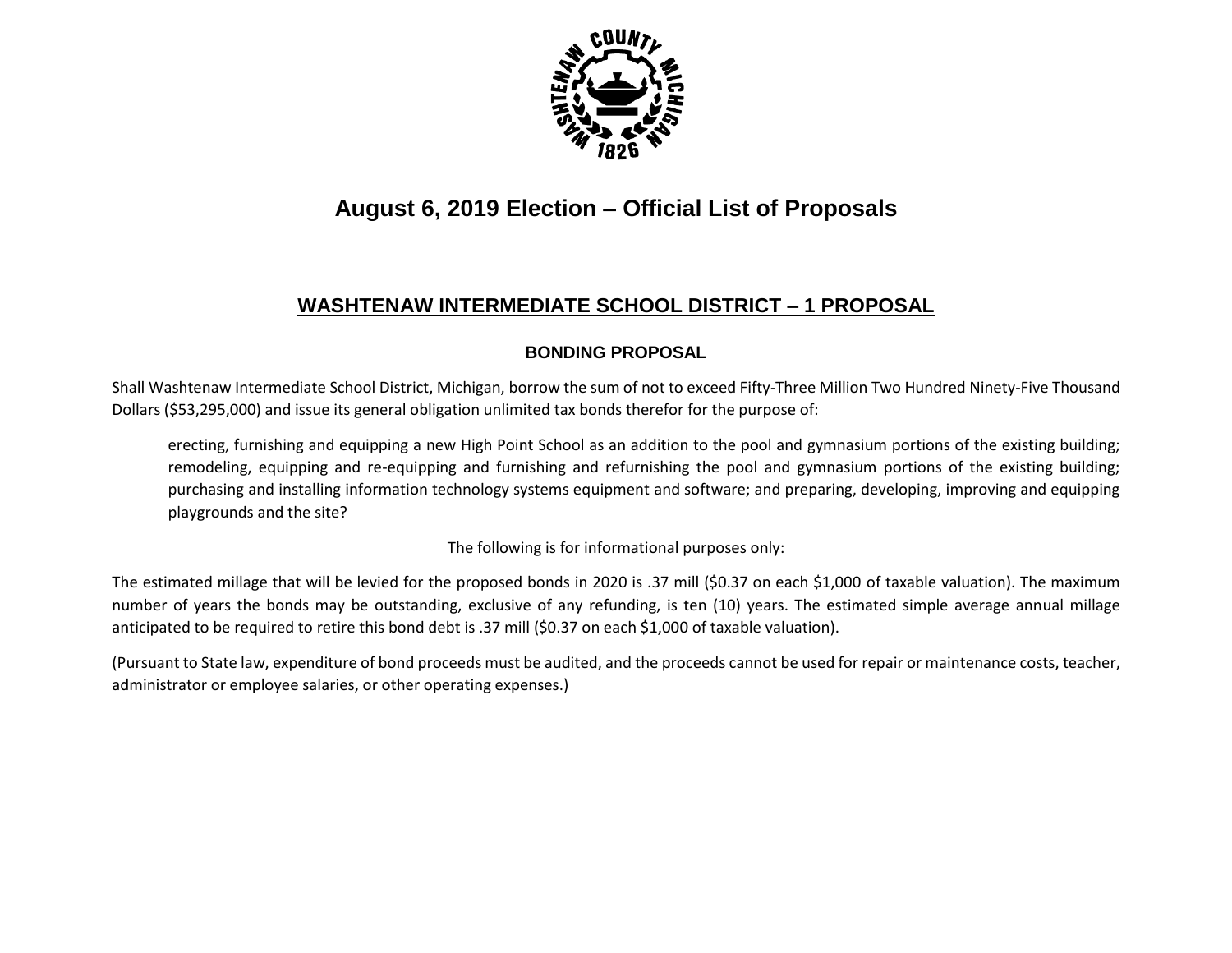

# **August 6, 2019 Election – Official List of Proposals**

## **WASHTENAW INTERMEDIATE SCHOOL DISTRICT – 1 PROPOSAL**

#### **BONDING PROPOSAL**

Shall Washtenaw Intermediate School District, Michigan, borrow the sum of not to exceed Fifty-Three Million Two Hundred Ninety-Five Thousand Dollars (\$53,295,000) and issue its general obligation unlimited tax bonds therefor for the purpose of:

erecting, furnishing and equipping a new High Point School as an addition to the pool and gymnasium portions of the existing building; remodeling, equipping and re-equipping and furnishing and refurnishing the pool and gymnasium portions of the existing building; purchasing and installing information technology systems equipment and software; and preparing, developing, improving and equipping playgrounds and the site?

The following is for informational purposes only:

The estimated millage that will be levied for the proposed bonds in 2020 is .37 mill (\$0.37 on each \$1,000 of taxable valuation). The maximum number of years the bonds may be outstanding, exclusive of any refunding, is ten (10) years. The estimated simple average annual millage anticipated to be required to retire this bond debt is .37 mill (\$0.37 on each \$1,000 of taxable valuation).

(Pursuant to State law, expenditure of bond proceeds must be audited, and the proceeds cannot be used for repair or maintenance costs, teacher, administrator or employee salaries, or other operating expenses.)